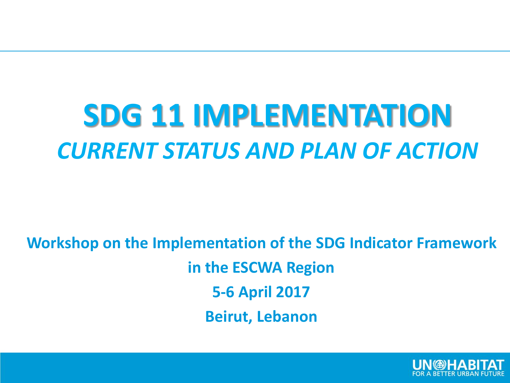#### **SDG 11 IMPLEMENTATION** *CURRENT STATUS AND PLAN OF ACTION*

**Workshop on the Implementation of the SDG Indicator Framework in the ESCWA Region 5-6 April 2017 Beirut, Lebanon**

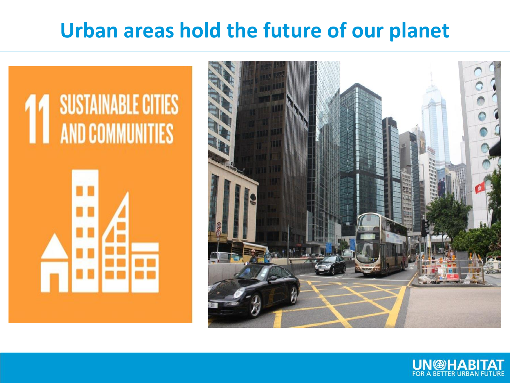#### **Urban areas hold the future of our planet**

# **SUSTAINABLE CITIES AND COMMUNITIES**



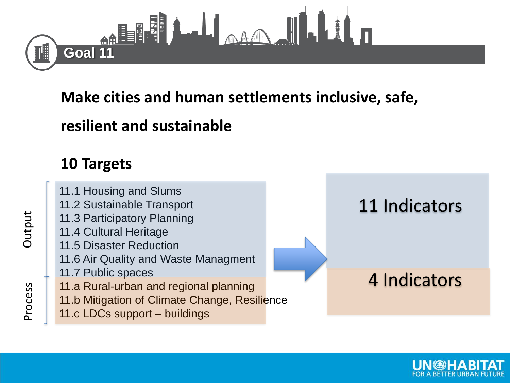

**Make cities and human settlements inclusive, safe,** 

#### **resilient and sustainable**

#### **10 Targets**

11.1 Housing and Slums 11.2 Sustainable Transport 11.3 Participatory Planning 11.4 Cultural Heritage 11.5 Disaster Reduction 11.6 Air Quality and Waste Managment 11.7 Public spaces 11.a Rural-urban and regional planning 11.b Mitigation of Climate Change, Resilience 11.c LDCs support – buildings 11 Indicators 4 Indicators

Output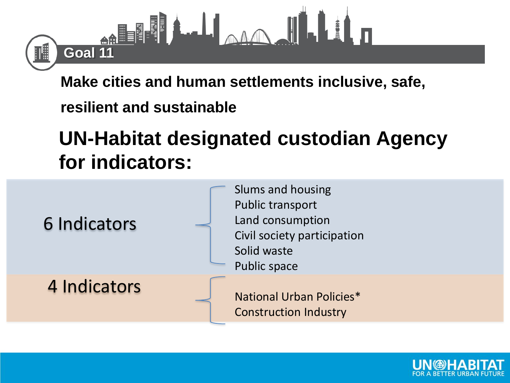

**Make cities and human settlements inclusive, safe,** 

**resilient and sustainable** 

#### **UN-Habitat designated custodian Agency for indicators:**

| 6 Indicators | Slums and housing<br>Public transport<br>Land consumption<br>Civil society participation<br>Solid waste<br>Public space |
|--------------|-------------------------------------------------------------------------------------------------------------------------|
| 4 Indicators | National Urban Policies*<br><b>Construction Industry</b>                                                                |

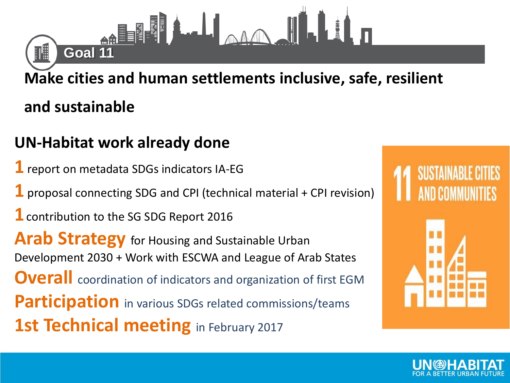#### **Make cities and human settlements inclusive, safe, resilient**

#### **and sustainable**

||開

#### **UN-Habitat work already done**

أ∎ا∎≣≝<sub>ا:}</sub><br>| Goal 11

- **1** report on metadata SDGs indicators IA-EG
- **1** proposal connecting SDG and CPI (technical material + CPI revision)
- **1**contribution to the SG SDG Report 2016

Arab Strategy for Housing and Sustainable Urban Development 2030 + Work with ESCWA and League of Arab States **Overall** coordination of indicators and organization of first EGM **Participation** in various SDGs related commissions/teams **1st Technical meeting** in February 2017

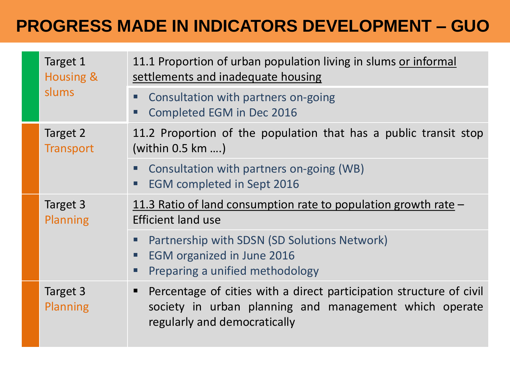#### **PROGRESS MADE IN INDICATORS DEVELOPMENT – GUO**

| Target 1<br><b>Housing &amp;</b><br>slums | 11.1 Proportion of urban population living in slums or informal<br>settlements and inadequate housing                                                         |  |  |  |  |
|-------------------------------------------|---------------------------------------------------------------------------------------------------------------------------------------------------------------|--|--|--|--|
|                                           | Consultation with partners on-going<br>Completed EGM in Dec 2016                                                                                              |  |  |  |  |
| Target 2<br><b>Transport</b>              | 11.2 Proportion of the population that has a public transit stop<br>(within $0.5$ km )                                                                        |  |  |  |  |
|                                           | Consultation with partners on-going (WB)<br><b>EGM</b> completed in Sept 2016                                                                                 |  |  |  |  |
| Target 3<br><b>Planning</b>               | 11.3 Ratio of land consumption rate to population growth rate $-$<br><b>Efficient land use</b>                                                                |  |  |  |  |
|                                           | Partnership with SDSN (SD Solutions Network)<br>EGM organized in June 2016<br>ш<br>Preparing a unified methodology<br>ш                                       |  |  |  |  |
| Target 3<br><b>Planning</b>               | Percentage of cities with a direct participation structure of civil<br>society in urban planning and management which operate<br>regularly and democratically |  |  |  |  |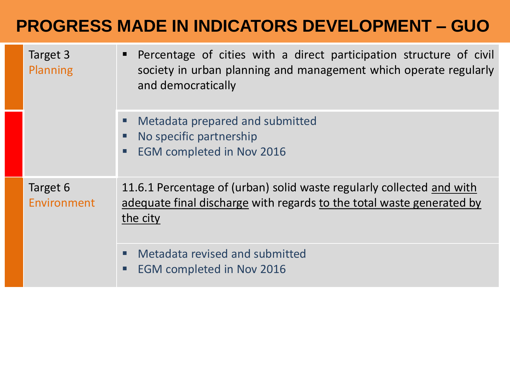#### **PROGRESS MADE IN INDICATORS DEVELOPMENT – GUO**

| Target 3<br>Planning           | Percentage of cities with a direct participation structure of civil<br>ш<br>society in urban planning and management which operate regularly<br>and democratically |
|--------------------------------|--------------------------------------------------------------------------------------------------------------------------------------------------------------------|
|                                | Metadata prepared and submitted<br>Ξ<br>No specific partnership<br>$\Box$<br><b>EGM completed in Nov 2016</b><br>□                                                 |
| Target 6<br><b>Environment</b> | 11.6.1 Percentage of (urban) solid waste regularly collected and with<br>adequate final discharge with regards to the total waste generated by<br>the city         |
|                                | Metadata revised and submitted<br>о<br><b>EGM completed in Nov 2016</b><br>$\Box$                                                                                  |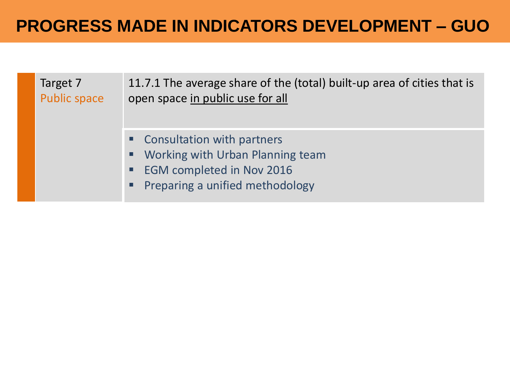#### **PROGRESS MADE IN INDICATORS DEVELOPMENT – GUO**

Target 7 Public space

11.7.1 The average share of the (total) built-up area of cities that is open space in public use for all

- **EX Consultation with partners**
- **Working with Urban Planning team**
- **EGM completed in Nov 2016**
- Preparing a unified methodology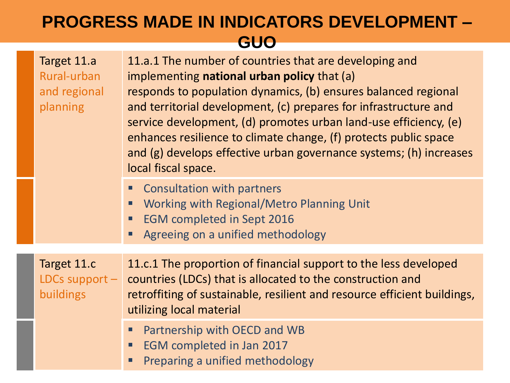#### **PROGRESS MADE IN INDICATORS DEVELOPMENT – GUO**

| Target 11.a<br>Rural-urban<br>and regional<br>planning | 11.a.1 The number of countries that are developing and<br>implementing national urban policy that (a)<br>responds to population dynamics, (b) ensures balanced regional<br>and territorial development, (c) prepares for infrastructure and<br>service development, (d) promotes urban land-use efficiency, (e)<br>enhances resilience to climate change, (f) protects public space<br>and (g) develops effective urban governance systems; (h) increases<br>local fiscal space. |  |  |  |
|--------------------------------------------------------|----------------------------------------------------------------------------------------------------------------------------------------------------------------------------------------------------------------------------------------------------------------------------------------------------------------------------------------------------------------------------------------------------------------------------------------------------------------------------------|--|--|--|
|                                                        | <b>Consultation with partners</b><br>Working with Regional/Metro Planning Unit<br><b>EGM completed in Sept 2016</b><br>Agreeing on a unified methodology                                                                                                                                                                                                                                                                                                                         |  |  |  |
| Target 11.c<br>LDCs support $-$<br><b>buildings</b>    | 11.c.1 The proportion of financial support to the less developed<br>countries (LDCs) that is allocated to the construction and<br>retroffiting of sustainable, resilient and resource efficient buildings,<br>utilizing local material                                                                                                                                                                                                                                           |  |  |  |
|                                                        | Partnership with OECD and WB<br>Ξ<br>EGM completed in Jan 2017<br>٠<br>Preparing a unified methodology                                                                                                                                                                                                                                                                                                                                                                           |  |  |  |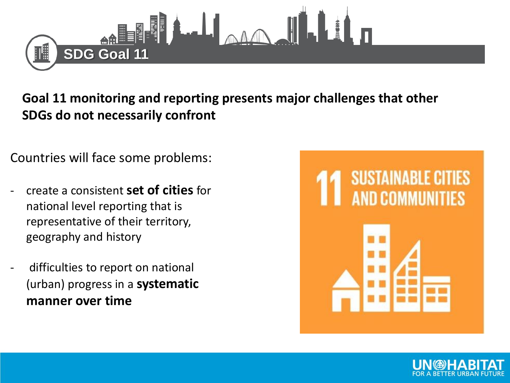

**Goal 11 monitoring and reporting presents major challenges that other SDGs do not necessarily confront**

Countries will face some problems:

- create a consistent **set of cities** for national level reporting that is representative of their territory, geography and history
- difficulties to report on national (urban) progress in a **systematic manner over time**

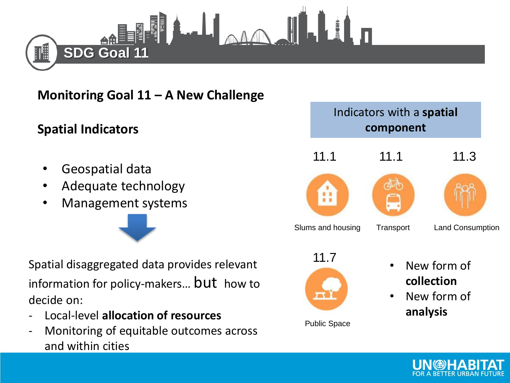

**Monitoring Goal 11 – A New Challenge**

#### **Spatial Indicators**

- Geospatial data
- Adequate technology
- Management systems

Spatial disaggregated data provides relevant information for policy-makers... **but** how to decide on:

- Local-level **allocation of resources**
- Monitoring of equitable outcomes across and within cities

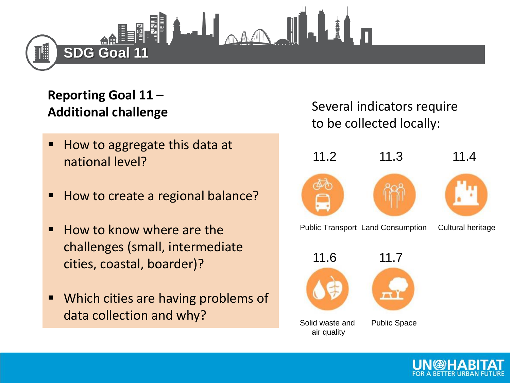

#### **Reporting Goal 11 – Additional challenge**

- How to aggregate this data at national level?
- How to create a regional balance?
- How to know where are the challenges (small, intermediate cities, coastal, boarder)?
- Which cities are having problems of data collection and why?

Several indicators require to be collected locally:

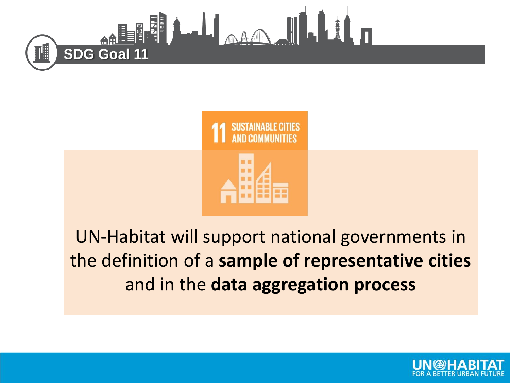



#### UN-Habitat will support national governments in the definition of a **sample of representative cities**  and in the **data aggregation process**

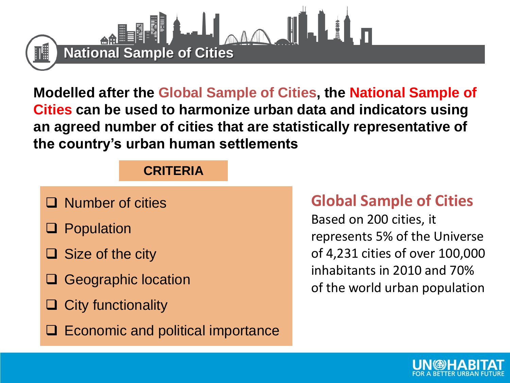

**Modelled after the Global Sample of Cities, the National Sample of Cities can be used to harmonize urban data and indicators using an agreed number of cities that are statistically representative of the country's urban human settlements**

#### **CRITERIA**

- $\Box$  Number of cities
- **Q** Population
- $\Box$  Size of the city
- **□ Geographic location**
- $\Box$  City functionality
- $\Box$  Economic and political importance

#### **Global Sample of Cities**

Based on 200 cities, it represents 5% of the Universe of 4,231 cities of over 100,000 inhabitants in 2010 and 70% of the world urban population

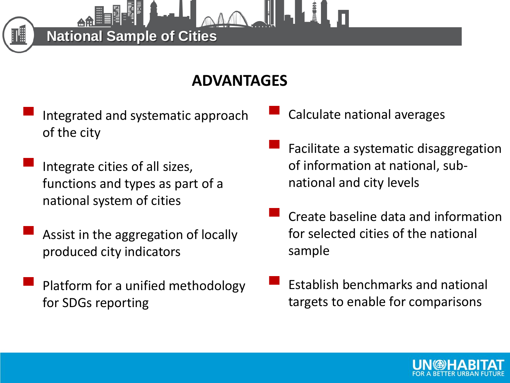#### **ADVANTAGES**

Integrated and systematic approach of the city

**National Sample of Cities**

- Integrate cities of all sizes, functions and types as part of a national system of cities
- Assist in the aggregation of locally produced city indicators
- Platform for a unified methodology for SDGs reporting
- Calculate national averages
- Facilitate a systematic disaggregation of information at national, subnational and city levels
- Create baseline data and information for selected cities of the national sample
- Establish benchmarks and national targets to enable for comparisons

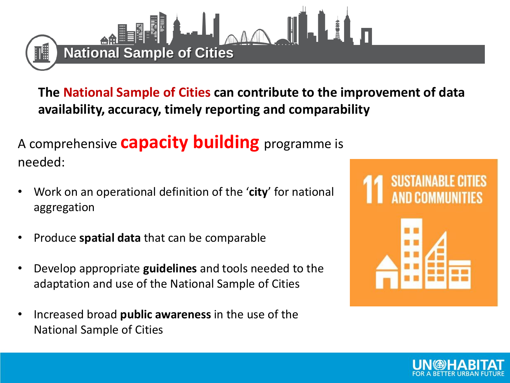

**The National Sample of Cities can contribute to the improvement of data availability, accuracy, timely reporting and comparability**

A comprehensive **capacity building** programme is needed:

- Work on an operational definition of the '**city**' for national aggregation
- Produce **spatial data** that can be comparable
- Develop appropriate **guidelines** and tools needed to the adaptation and use of the National Sample of Cities
- Increased broad **public awareness** in the use of the National Sample of Cities



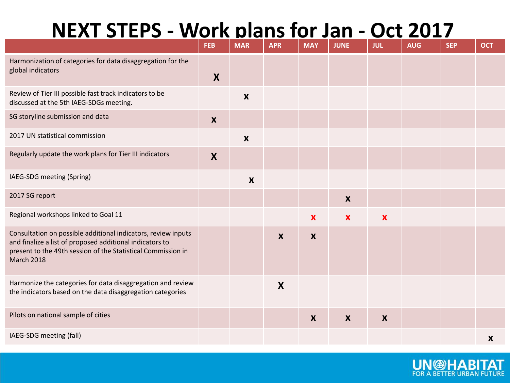#### **NEXT STEPS - Work plans for Jan - Oct 2017**

|                                                                                                                                                                                                                | <b>FEB</b> | <b>MAR</b>                | <b>APR</b>       | <b>MAY</b>       | <b>JUNE</b>               | <b>JUL</b>                | <b>AUG</b> | <b>SEP</b> | <b>OCT</b>       |
|----------------------------------------------------------------------------------------------------------------------------------------------------------------------------------------------------------------|------------|---------------------------|------------------|------------------|---------------------------|---------------------------|------------|------------|------------------|
| Harmonization of categories for data disaggregation for the<br>global indicators                                                                                                                               | X          |                           |                  |                  |                           |                           |            |            |                  |
| Review of Tier III possible fast track indicators to be<br>discussed at the 5th IAEG-SDGs meeting.                                                                                                             |            | $\boldsymbol{\mathsf{X}}$ |                  |                  |                           |                           |            |            |                  |
| SG storyline submission and data                                                                                                                                                                               |            |                           |                  |                  |                           |                           |            |            |                  |
| 2017 UN statistical commission                                                                                                                                                                                 |            | $\boldsymbol{X}$          |                  |                  |                           |                           |            |            |                  |
| Regularly update the work plans for Tier III indicators                                                                                                                                                        |            |                           |                  |                  |                           |                           |            |            |                  |
| IAEG-SDG meeting (Spring)                                                                                                                                                                                      |            | $\boldsymbol{\mathsf{X}}$ |                  |                  |                           |                           |            |            |                  |
| 2017 SG report                                                                                                                                                                                                 |            |                           |                  |                  | $\boldsymbol{\mathsf{X}}$ |                           |            |            |                  |
| Regional workshops linked to Goal 11                                                                                                                                                                           |            |                           |                  | X                | $\boldsymbol{\mathsf{x}}$ | $\boldsymbol{\mathsf{X}}$ |            |            |                  |
| Consultation on possible additional indicators, review inputs<br>and finalize a list of proposed additional indicators to<br>present to the 49th session of the Statistical Commission in<br><b>March 2018</b> |            |                           | $\boldsymbol{x}$ | $\boldsymbol{X}$ |                           |                           |            |            |                  |
| Harmonize the categories for data disaggregation and review<br>the indicators based on the data disaggregation categories                                                                                      |            |                           | X                |                  |                           |                           |            |            |                  |
| Pilots on national sample of cities                                                                                                                                                                            |            |                           |                  | $\boldsymbol{X}$ | $\boldsymbol{x}$          | $\boldsymbol{X}$          |            |            |                  |
| IAEG-SDG meeting (fall)                                                                                                                                                                                        |            |                           |                  |                  |                           |                           |            |            | $\boldsymbol{X}$ |

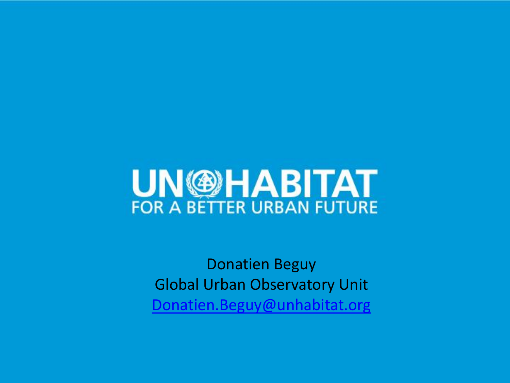### **UN @HABITAT**

Donatien Beguy Global Urban Observatory Unit [Donatien.Beguy@unhabitat.org](mailto:Donatien.Beguy@unhabitat.org)